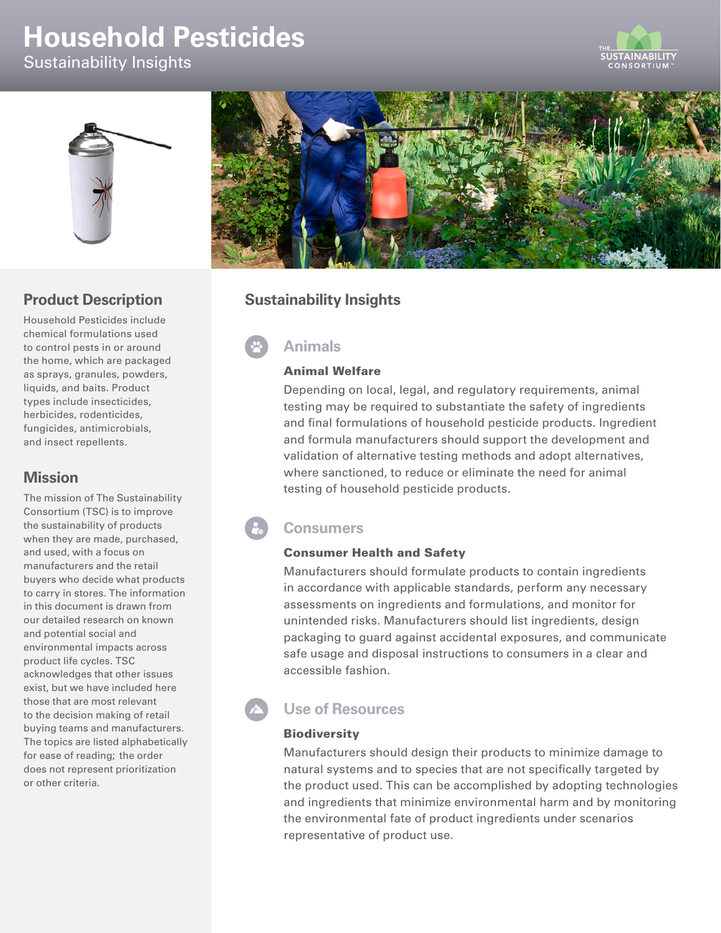# **Household Pesticides**

Sustainability Insights





# **Product Description**

Household Pesticides include chemical formulations used to control pests in or around the home, which are packaged as sprays, granules, powders, liquids, and baits. Product types include insecticides, herbicides, rodenticides, fungicides, antimicrobials, and insect repellents.

### **Mission**

The mission of The Sustainability Consortium (TSC) is to improve the sustainability of products when they are made, purchased, and used, with a focus on manufacturers and the retail buyers who decide what products to carry in stores. The information in this document is drawn from our detailed research on known and potential social and environmental impacts across product life cycles. TSC acknowledges that other issues exist, but we have included here those that are most relevant to the decision making of retail buying teams and manufacturers. The topics are listed alphabetically for ease of reading; the order does not represent prioritization or other criteria.



# **Sustainability Insights**

**Animals** 

### Animal Welfare

Depending on local, legal, and regulatory requirements, animal testing may be required to substantiate the safety of ingredients and final formulations of household pesticide products. Ingredient and formula manufacturers should support the development and validation of alternative testing methods and adopt alternatives, where sanctioned, to reduce or eliminate the need for animal testing of household pesticide products.

# **Consumers**

#### Consumer Health and Safety

Manufacturers should formulate products to contain ingredients in accordance with applicable standards, perform any necessary assessments on ingredients and formulations, and monitor for unintended risks. Manufacturers should list ingredients, design packaging to guard against accidental exposures, and communicate safe usage and disposal instructions to consumers in a clear and accessible fashion.

# **Use of Resources**

### **Biodiversity**

Manufacturers should design their products to minimize damage to natural systems and to species that are not specifically targeted by the product used. This can be accomplished by adopting technologies and ingredients that minimize environmental harm and by monitoring the environmental fate of product ingredients under scenarios representative of product use.